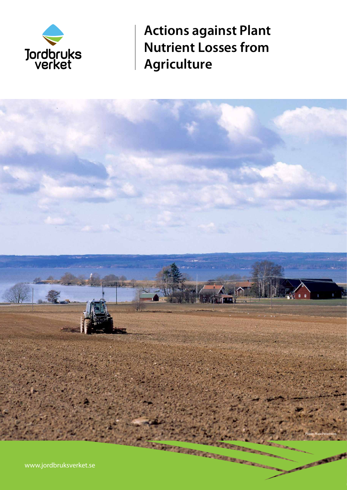

**Actions against Plant Nutrient Losses from Agriculture**

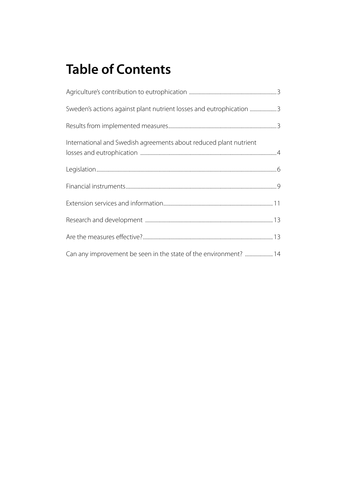# **Table of Contents**

| Sweden's actions against plant nutrient losses and eutrophication 3 |  |
|---------------------------------------------------------------------|--|
|                                                                     |  |
| International and Swedish agreements about reduced plant nutrient   |  |
|                                                                     |  |
|                                                                     |  |
|                                                                     |  |
|                                                                     |  |
|                                                                     |  |
| Can any improvement be seen in the state of the environment?  14    |  |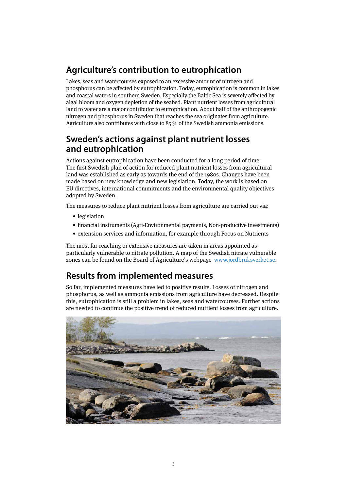# **Agriculture's contribution to eutrophication**

Lakes, seas and watercourses exposed to an excessive amount of nitrogen and phosphorus can be affected by eutrophication. Today, eutrophication is common in lakes and coastal waters in southern Sweden. Especially the Baltic Sea is severely affected by algal bloom and oxygen depletion of the seabed. Plant nutrient losses from agricultural land to water are a major contributor to eutrophication. About half of the anthropogenic nitrogen and phosphorus in Sweden that reaches the sea originates from agriculture. Agriculture also contributes with close to 85 % of the Swedish ammonia emissions.

### **Sweden's actions against plant nutrient losses and eutrophication**

Actions against eutrophication have been conducted for a long period of time. The first Swedish plan of action for reduced plant nutrient losses from agricultural land was established as early as towards the end of the 1980s. Changes have been made based on new knowledge and new legislation. Today, the work is based on EU directives, international commitments and the environmental quality objectives adopted by Sweden.

The measures to reduce plant nutrient losses from agriculture are carried out via:

- legislation
- financial instruments (Agri-Environmental payments, Non-productive investments)
- extension services and information, for example through Focus on Nutrients

The most far-reaching or extensive measures are taken in areas appointed as particularly vulnerable to nitrate pollution. A map of the Swedish nitrate vulnerable zones can be found on the Board of Agriculture's webpage www.jordbruksverket.se.

# **Results from implemented measures**

So far, implemented measures have led to positive results. Losses of nitrogen and phosphorus, as well as ammonia emissions from agriculture have decreased. Despite this, eutrophication is still a problem in lakes, seas and watercourses. Further actions are needed to continue the positive trend of reduced nutrient losses from agriculture.

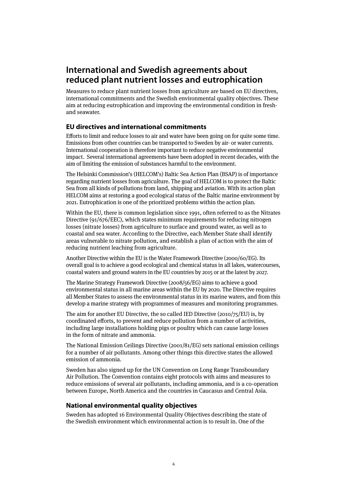### **International and Swedish agreements about reduced plant nutrient losses and eutrophication**

Measures to reduce plant nutrient losses from agriculture are based on EU directives, international commitments and the Swedish environmental quality objectives. These aim at reducing eutrophication and improving the environmental condition in freshand seawater.

#### **EU directives and international commitments**

Efforts to limit and reduce losses to air and water have been going on for quite some time. Emissions from other countries can be transported to Sweden by air- or water currents. International cooperation is therefore important to reduce negative environmental impact. Several international agreements have been adopted in recent decades, with the aim of limiting the emission of substances harmful to the environment.

The Helsinki Commission's (HELCOM's) Baltic Sea Action Plan (BSAP) is of importance regarding nutrient losses from agriculture. The goal of HELCOM is to protect the Baltic Sea from all kinds of pollutions from land, shipping and aviation. With its action plan HELCOM aims at restoring a good ecological status of the Baltic marine environment by 2021. Eutrophication is one of the prioritized problems within the action plan.

Within the EU, there is common legislation since 1991, often referred to as the Nitrates Directive (91/676/EEC), which states minimum requirements for reducing nitrogen losses (nitrate losses) from agriculture to surface and ground water, as well as to coastal and sea water. According to the Directive, each Member State shall identify areas vulnerable to nitrate pollution, and establish a plan of action with the aim of reducing nutrient leaching from agriculture.

Another Directive within the EU is the Water Framework Directive (2000/60/EG). Its overall goal is to achieve a good ecological and chemical status in all lakes, watercourses, coastal waters and ground waters in the EU countries by 2015 or at the latest by 2027.

The Marine Strategy Framework Directive (2008/56/EG) aims to achieve a good environmental status in all marine areas within the EU by 2020. The Directive requires all Member States to assess the environmental status in its marine waters, and from this develop a marine strategy with programmes of measures and monitoring programmes.

The aim for another EU Directive, the so called IED Directive (2010/75/EU) is, by coordinated efforts, to prevent and reduce pollution from a number of activities, including large installations holding pigs or poultry which can cause large losses in the form of nitrate and ammonia.

The National Emission Ceilings Directive (2001/81/EG) sets national emission ceilings for a number of air pollutants. Among other things this directive states the allowed emission of ammonia.

Sweden has also signed up for the UN Convention on Long Range Transboundary Air Pollution. The Convention contains eight protocols with aims and measures to reduce emissions of several air pollutants, including ammonia, and is a co-operation between Europe, North America and the countries in Caucasus and Central Asia.

#### **National environmental quality objectives**

Sweden has adopted 16 Environmental Quality Objectives describing the state of the Swedish environment which environmental action is to result in. One of the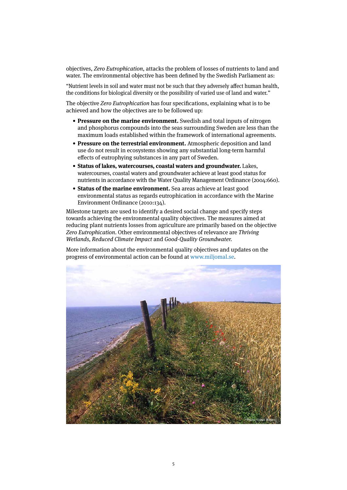objectives, Zero Eutrophication, attacks the problem of losses of nutrients to land and water. The environmental objective has been defined by the Swedish Parliament as:

"Nutrient levels in soil and water must not be such that they adversely affect human health, the conditions for biological diversity or the possibility of varied use of land and water."

The objective Zero Eutrophication has four specifications, explaining what is to be achieved and how the objectives are to be followed up:

- **Pressure on the marine environment.** Swedish and total inputs of nitrogen and phosphorus compounds into the seas surrounding Sweden are less than the maximum loads established within the framework of international agreements.
- **Pressure on the terrestrial environment.** Atmospheric deposition and land use do not result in ecosystems showing any substantial long-term harmful effects of eutrophying substances in any part of Sweden.
- **Status of lakes, watercourses, coastal waters and groundwater.** Lakes, watercourses, coastal waters and groundwater achieve at least good status for nutrients in accordance with the Water Quality Management Ordinance (2004:660).
- **Status of the marine environment.** Sea areas achieve at least good environmental status as regards eutrophication in accordance with the Marine Environment Ordinance (2010:134).

Milestone targets are used to identify a desired social change and specify steps towards achieving the environmental quality objectives. The measures aimed at reducing plant nutrients losses from agriculture are primarily based on the objective Zero Eutrophication. Other environmental objectives of relevance are Thriving Wetlands, Reduced Climate Impact and Good-Quality Groundwater.

More information about the environmental quality objectives and updates on the progress of environmental action can be found at www.miljomal.se.

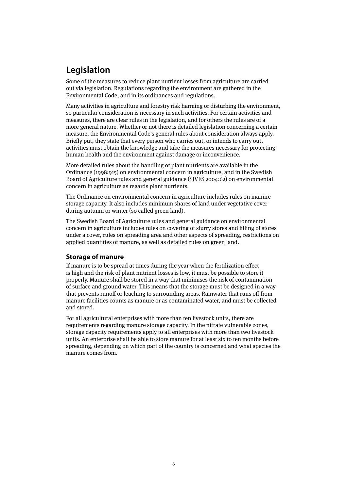# **Legislation**

Some of the measures to reduce plant nutrient losses from agriculture are carried out via legislation. Regulations regarding the environment are gathered in the Environmental Code, and in its ordinances and regulations.

Many activities in agriculture and forestry risk harming or disturbing the environment, so particular consideration is necessary in such activities. For certain activities and measures, there are clear rules in the legislation, and for others the rules are of a more general nature. Whether or not there is detailed legislation concerning a certain measure, the Environmental Code's general rules about consideration always apply. Briefly put, they state that every person who carries out, or intends to carry out, activities must obtain the knowledge and take the measures necessary for protecting human health and the environment against damage or inconvenience.

More detailed rules about the handling of plant nutrients are available in the Ordinance (1998:915) on environmental concern in agriculture, and in the Swedish Board of Agriculture rules and general guidance (SJVFS 2004:62) on environmental concern in agriculture as regards plant nutrients.

The Ordinance on environmental concern in agriculture includes rules on manure storage capacity. It also includes minimum shares of land under vegetative cover during autumn or winter (so called green land).

The Swedish Board of Agriculture rules and general guidance on environmental concern in agriculture includes rules on covering of slurry stores and filling of stores under a cover, rules on spreading area and other aspects of spreading, restrictions on applied quantities of manure, as well as detailed rules on green land.

#### **Storage of manure**

If manure is to be spread at times during the year when the fertilization effect is high and the risk of plant nutrient losses is low, it must be possible to store it properly. Manure shall be stored in a way that minimises the risk of contamination of surface and ground water. This means that the storage must be designed in a way that prevents runoff or leaching to surrounding areas. Rainwater that runs off from manure facilities counts as manure or as contaminated water, and must be collected and stored.

For all agricultural enterprises with more than ten livestock units, there are requirements regarding manure storage capacity. In the nitrate vulnerable zones, storage capacity requirements apply to all enterprises with more than two livestock units. An enterprise shall be able to store manure for at least six to ten months before spreading, depending on which part of the country is concerned and what species the manure comes from.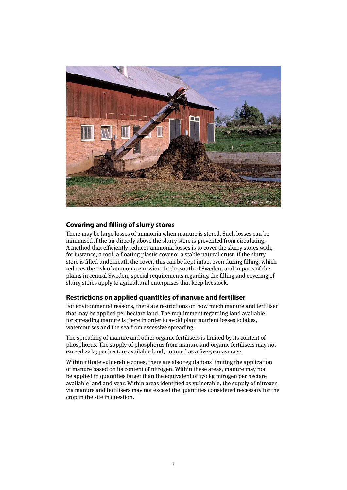

#### **Covering and filling of slurry stores**

There may be large losses of ammonia when manure is stored. Such losses can be minimised if the air directly above the slurry store is prevented from circulating. A method that efficiently reduces ammonia losses is to cover the slurry stores with, for instance, a roof, a floating plastic cover or a stable natural crust. If the slurry store is filled underneath the cover, this can be kept intact even during filling, which reduces the risk of ammonia emission. In the south of Sweden, and in parts of the plains in central Sweden, special requirements regarding the filling and covering of slurry stores apply to agricultural enterprises that keep livestock.

#### **Restrictions on applied quantities of manure and fertiliser**

For environmental reasons, there are restrictions on how much manure and fertiliser that may be applied per hectare land. The requirement regarding land available for spreading manure is there in order to avoid plant nutrient losses to lakes, watercourses and the sea from excessive spreading.

The spreading of manure and other organic fertilisers is limited by its content of phosphorus. The supply of phosphorus from manure and organic fertilisers may not exceed 22 kg per hectare available land, counted as a five-year average.

Within nitrate vulnerable zones, there are also regulations limiting the application of manure based on its content of nitrogen. Within these areas, manure may not be applied in quantities larger than the equivalent of 170 kg nitrogen per hectare available land and year. Within areas identified as vulnerable, the supply of nitrogen via manure and fertilisers may not exceed the quantities considered necessary for the crop in the site in question.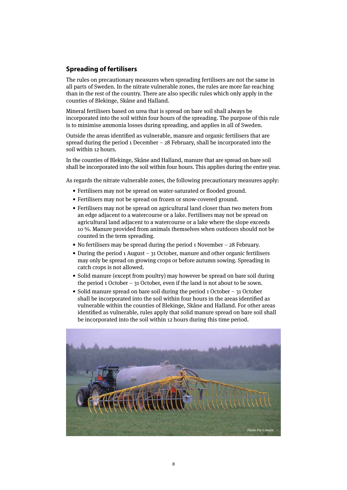#### **Spreading of fertilisers**

The rules on precautionary measures when spreading fertilisers are not the same in all parts of Sweden. In the nitrate vulnerable zones, the rules are more far-reaching than in the rest of the country. There are also specific rules which only apply in the counties of Blekinge, Skåne and Halland.

Mineral fertilisers based on urea that is spread on bare soil shall always be incorporated into the soil within four hours of the spreading. The purpose of this rule is to minimise ammonia losses during spreading, and applies in all of Sweden.

Outside the areas identified as vulnerable, manure and organic fertilisers that are spread during the period 1 December – 28 February, shall be incorporated into the soil within 12 hours.

In the counties of Blekinge, Skåne and Halland, manure that are spread on bare soil shall be incorporated into the soil within four hours. This applies during the entire year.

As regards the nitrate vulnerable zones, the following precautionary measures apply:

- Fertilisers may not be spread on water-saturated or flooded ground.
- Fertilisers may not be spread on frozen or snow-covered ground.
- Fertilisers may not be spread on agricultural land closer than two meters from an edge adjacent to a watercourse or a lake. Fertilisers may not be spread on agricultural land adjacent to a watercourse or a lake where the slope exceeds 10 %. Manure provided from animals themselves when outdoors should not be counted in the term spreading.
- No fertilisers may be spread during the period 1 November 28 February.
- During the period 1 August 31 October, manure and other organic fertilisers may only be spread on growing crops or before autumn sowing. Spreading in catch crops is not allowed.
- Solid manure (except from poultry) may however be spread on bare soil during the period 1 October – 31 October, even if the land is not about to be sown.
- Solid manure spread on bare soil during the period 1 October 31 October shall be incorporated into the soil within four hours in the areas identified as vulnerable within the counties of Blekinge, Skåne and Halland. For other areas identified as vulnerable, rules apply that solid manure spread on bare soil shall be incorporated into the soil within 12 hours during this time period.

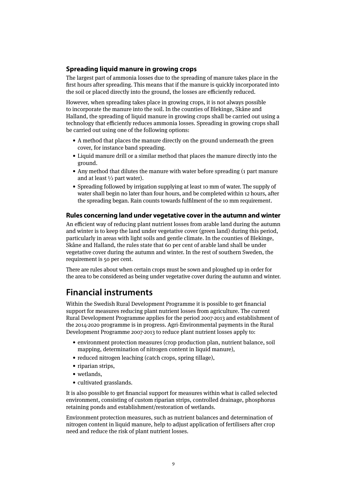#### **Spreading liquid manure in growing crops**

The largest part of ammonia losses due to the spreading of manure takes place in the first hours after spreading. This means that if the manure is quickly incorporated into the soil or placed directly into the ground, the losses are efficiently reduced.

However, when spreading takes place in growing crops, it is not always possible to incorporate the manure into the soil. In the counties of Blekinge, Skåne and Halland, the spreading of liquid manure in growing crops shall be carried out using a technology that efficiently reduces ammonia losses. Spreading in growing crops shall be carried out using one of the following options:

- A method that places the manure directly on the ground underneath the green cover, for instance band spreading.
- Liquid manure drill or a similar method that places the manure directly into the ground.
- Any method that dilutes the manure with water before spreading (1 part manure and at least  $\frac{1}{2}$  part water).
- Spreading followed by irrigation supplying at least 10 mm of water. The supply of water shall begin no later than four hours, and be completed within 12 hours, after the spreading began. Rain counts towards fulfilment of the 10 mm requirement.

#### **Rules concerning land under vegetative cover in the autumn and winter**

An efficient way of reducing plant nutrient losses from arable land during the autumn and winter is to keep the land under vegetative cover (green land) during this period, particularly in areas with light soils and gentle climate. In the counties of Blekinge, Skåne and Halland, the rules state that 60 per cent of arable land shall be under vegetative cover during the autumn and winter. In the rest of southern Sweden, the requirement is 50 per cent.

There are rules about when certain crops must be sown and ploughed up in order for the area to be considered as being under vegetative cover during the autumn and winter.

### **Financial instruments**

Within the Swedish Rural Development Programme it is possible to get financial support for measures reducing plant nutrient losses from agriculture. The current Rural Development Programme applies for the period 2007-2013 and establishment of the 2014-2020 programme is in progress. Agri-Environmental payments in the Rural Development Programme 2007-2013 to reduce plant nutrient losses apply to:

- environment protection measures (crop production plan, nutrient balance, soil mapping, determination of nitrogen content in liquid manure).
- reduced nitrogen leaching (catch crops, spring tillage),
- riparian strips.
- wetlands,
- cultivated grasslands.

It is also possible to get financial support for measures within what is called selected environment, consisting of custom riparian strips, controlled drainage, phosphorus retaining ponds and establishment/restoration of wetlands.

Environment protection measures, such as nutrient balances and determination of nitrogen content in liquid manure, help to adjust application of fertilisers after crop need and reduce the risk of plant nutrient losses.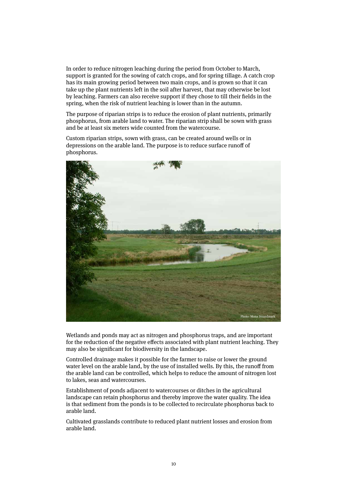In order to reduce nitrogen leaching during the period from October to March, support is granted for the sowing of catch crops, and for spring tillage. A catch crop has its main growing period between two main crops, and is grown so that it can take up the plant nutrients left in the soil after harvest, that may otherwise be lost by leaching. Farmers can also receive support if they chose to till their fields in the spring, when the risk of nutrient leaching is lower than in the autumn.

The purpose of riparian strips is to reduce the erosion of plant nutrients, primarily phosphorus, from arable land to water. The riparian strip shall be sown with grass and be at least six meters wide counted from the watercourse.

Custom riparian strips, sown with grass, can be created around wells or in depressions on the arable land. The purpose is to reduce surface runoff of phosphorus.



Wetlands and ponds may act as nitrogen and phosphorus traps, and are important for the reduction of the negative effects associated with plant nutrient leaching. They may also be significant for biodiversity in the landscape.

Controlled drainage makes it possible for the farmer to raise or lower the ground water level on the arable land, by the use of installed wells. By this, the runoff from the arable land can be controlled, which helps to reduce the amount of nitrogen lost to lakes, seas and watercourses.

Establishment of ponds adjacent to watercourses or ditches in the agricultural landscape can retain phosphorus and thereby improve the water quality. The idea is that sediment from the ponds is to be collected to recirculate phosphorus back to arable land.

Cultivated grasslands contribute to reduced plant nutrient losses and erosion from arable land.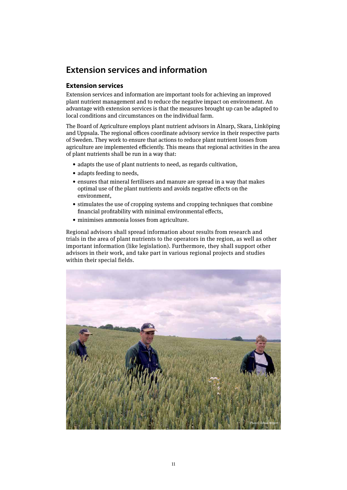# **Extension services and information**

#### **Extension services**

Extension services and information are important tools for achieving an improved plant nutrient management and to reduce the negative impact on environment. An advantage with extension services is that the measures brought up can be adapted to local conditions and circumstances on the individual farm.

The Board of Agriculture employs plant nutrient advisors in Alnarp, Skara, Linköping and Uppsala. The regional offices coordinate advisory service in their respective parts of Sweden. They work to ensure that actions to reduce plant nutrient losses from agriculture are implemented efficiently. This means that regional activities in the area of plant nutrients shall be run in a way that:

- adapts the use of plant nutrients to need, as regards cultivation,
- adapts feeding to needs,
- ensures that mineral fertilisers and manure are spread in a way that makes optimal use of the plant nutrients and avoids negative effects on the environment,
- stimulates the use of cropping systems and cropping techniques that combine financial profitability with minimal environmental effects,
- minimises ammonia losses from agriculture.

Regional advisors shall spread information about results from research and trials in the area of plant nutrients to the operators in the region, as well as other important information (like legislation). Furthermore, they shall support other advisors in their work, and take part in various regional projects and studies within their special fields.

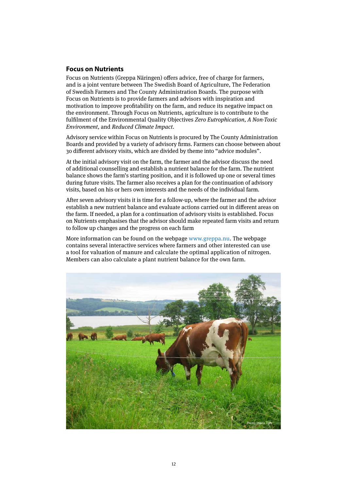#### **Focus on Nutrients**

Focus on Nutrients (Greppa Näringen) offers advice, free of charge for farmers, and is a joint venture between The Swedish Board of Agriculture, The Federation of Swedish Farmers and The County Administration Boards. The purpose with Focus on Nutrients is to provide farmers and advisors with inspiration and motivation to improve profitability on the farm, and reduce its negative impact on the environment. Through Focus on Nutrients, agriculture is to contribute to the fulfilment of the Environmental Quality Objectives Zero Eutrophication, A Non-Toxic Environment, and Reduced Climate Impact.

Advisory service within Focus on Nutrients is procured by The County Administration Boards and provided by a variety of advisory firms. Farmers can choose between about 30 different advisory visits, which are divided by theme into "advice modules".

At the initial advisory visit on the farm, the farmer and the advisor discuss the need of additional counselling and establish a nutrient balance for the farm. The nutrient balance shows the farm's starting position, and it is followed up one or several times during future visits. The farmer also receives a plan for the continuation of advisory visits, based on his or hers own interests and the needs of the individual farm.

After seven advisory visits it is time for a follow-up, where the farmer and the advisor establish a new nutrient balance and evaluate actions carried out in different areas on the farm. If needed, a plan for a continuation of advisory visits is established. Focus on Nutrients emphasises that the advisor should make repeated farm visits and return to follow up changes and the progress on each farm

More information can be found on the webpage www.greppa.nu. The webpage contains several interactive services where farmers and other interested can use a tool for valuation of manure and calculate the optimal application of nitrogen. Members can also calculate a plant nutrient balance for the own farm.

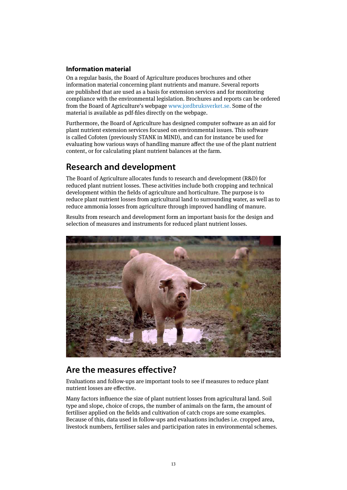#### **Information material**

On a regular basis, the Board of Agriculture produces brochures and other information material concerning plant nutrients and manure. Several reports are published that are used as a basis for extension services and for monitoring compliance with the environmental legislation. Brochures and reports can be ordered from the Board of Agriculture's webpage www.jordbruksverket.se. Some of the material is available as pdf-files directly on the webpage.

Furthermore, the Board of Agriculture has designed computer software as an aid for plant nutrient extension services focused on environmental issues. This software is called Cofoten (previously STANK in MIND), and can for instance be used for evaluating how various ways of handling manure affect the use of the plant nutrient content, or for calculating plant nutrient balances at the farm.

# **Research and development**

The Board of Agriculture allocates funds to research and development (R&D) for reduced plant nutrient losses. These activities include both cropping and technical development within the fields of agriculture and horticulture. The purpose is to reduce plant nutrient losses from agricultural land to surrounding water, as well as to reduce ammonia losses from agriculture through improved handling of manure.

Results from research and development form an important basis for the design and selection of measures and instruments for reduced plant nutrient losses.



### **Are the measures effective?**

Evaluations and follow-ups are important tools to see if measures to reduce plant nutrient losses are effective.

Many factors influence the size of plant nutrient losses from agricultural land. Soil type and slope, choice of crops, the number of animals on the farm, the amount of fertiliser applied on the fields and cultivation of catch crops are some examples. Because of this, data used in follow-ups and evaluations includes i.e. cropped area, livestock numbers, fertiliser sales and participation rates in environmental schemes.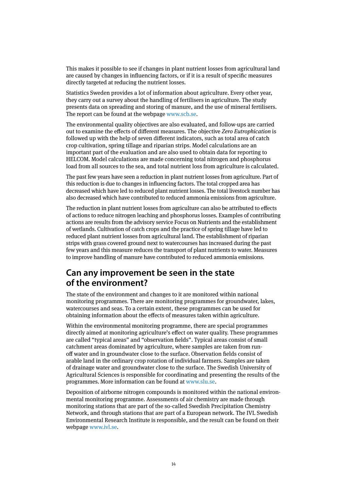This makes it possible to see if changes in plant nutrient losses from agricultural land are caused by changes in influencing factors, or if it is a result of specific measures directly targeted at reducing the nutrient losses.

Statistics Sweden provides a lot of information about agriculture. Every other year, they carry out a survey about the handling of fertilisers in agriculture. The study presents data on spreading and storing of manure, and the use of mineral fertilisers. The report can be found at the webpage www.scb.se.

The environmental quality objectives are also evaluated, and follow-ups are carried out to examine the effects of different measures. The objective Zero Eutrophication is followed up with the help of seven different indicators, such as total area of catch crop cultivation, spring tillage and riparian strips. Model calculations are an important part of the evaluation and are also used to obtain data for reporting to HELCOM. Model calculations are made concerning total nitrogen and phosphorus load from all sources to the sea, and total nutrient loss from agriculture is calculated.

The past few years have seen a reduction in plant nutrient losses from agriculture. Part of this reduction is due to changes in influencing factors. The total cropped area has decreased which have led to reduced plant nutrient losses. The total livestock number has also decreased which have contributed to reduced ammonia emissions from agriculture.

The reduction in plant nutrient losses from agriculture can also be attributed to effects of actions to reduce nitrogen leaching and phosphorus losses. Examples of contributing actions are results from the advisory service Focus on Nutrients and the establishment of wetlands. Cultivation of catch crops and the practice of spring tillage have led to reduced plant nutrient losses from agricultural land. The establishment of riparian strips with grass covered ground next to watercourses has increased during the past few years and this measure reduces the transport of plant nutrients to water. Measures to improve handling of manure have contributed to reduced ammonia emissions.

### **Can any improvement be seen in the state of the environment?**

The state of the environment and changes to it are monitored within national monitoring programmes. There are monitoring programmes for groundwater, lakes, watercourses and seas. To a certain extent, these programmes can be used for obtaining information about the effects of measures taken within agriculture.

Within the environmental monitoring programme, there are special programmes directly aimed at monitoring agriculture's effect on water quality. These programmes are called "typical areas" and "observation fields". Typical areas consist of small catchment areas dominated by agriculture, where samples are taken from runoff water and in groundwater close to the surface. Observation fields consist of arable land in the ordinary crop rotation of individual farmers. Samples are taken of drainage water and groundwater close to the surface. The Swedish University of Agricultural Sciences is responsible for coordinating and presenting the results of the programmes. More information can be found at www.slu.se.

Deposition of airborne nitrogen compounds is monitored within the national environmental monitoring programme. Assessments of air chemistry are made through monitoring stations that are part of the so-called Swedish Precipitation Chemistry Network, and through stations that are part of a European network. The IVL Swedish Environmental Research Institute is responsible, and the result can be found on their webpage www.ivl.se.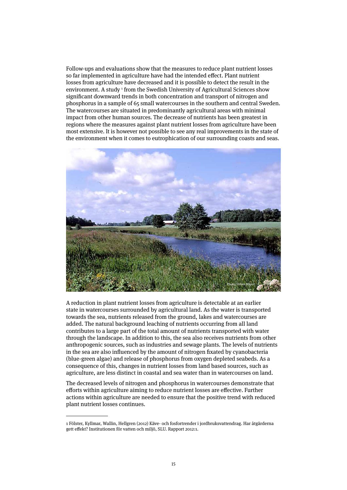Follow-ups and evaluations show that the measures to reduce plant nutrient losses so far implemented in agriculture have had the intended effect. Plant nutrient losses from agriculture have decreased and it is possible to detect the result in the environment. A study <sup>1</sup> from the Swedish University of Agricultural Sciences show significant downward trends in both concentration and transport of nitrogen and phosphorus in a sample of 65 small watercourses in the southern and central Sweden. The watercourses are situated in predominantly agricultural areas with minimal impact from other human sources. The decrease of nutrients has been greatest in regions where the measures against plant nutrient losses from agriculture have been most extensive. It is however not possible to see any real improvements in the state of the environment when it comes to eutrophication of our surrounding coasts and seas.



A reduction in plant nutrient losses from agriculture is detectable at an earlier state in watercourses surrounded by agricultural land. As the water is transported towards the sea, nutrients released from the ground, lakes and watercourses are added. The natural background leaching of nutrients occurring from all land contributes to a large part of the total amount of nutrients transported with water through the landscape. In addition to this, the sea also receives nutrients from other anthropogenic sources, such as industries and sewage plants. The levels of nutrients in the sea are also influenced by the amount of nitrogen fixated by cyanobacteria (blue-green algae) and release of phosphorus from oxygen depleted seabeds. As a consequence of this, changes in nutrient losses from land based sources, such as agriculture, are less distinct in coastal and sea water than in watercourses on land.

The decreased levels of nitrogen and phosphorus in watercourses demonstrate that efforts within agriculture aiming to reduce nutrient losses are effective. Further actions within agriculture are needed to ensure that the positive trend with reduced plant nutrient losses continues.

<sup>1</sup> Fölster, Kyllmar, Wallin, Hellgren (2012) Käve- och fosfortrender i jordbruksvattendrag. Har åtgärderna gett effekt? Institutionen för vatten och miljö, SLU. Rapport 2012:1.